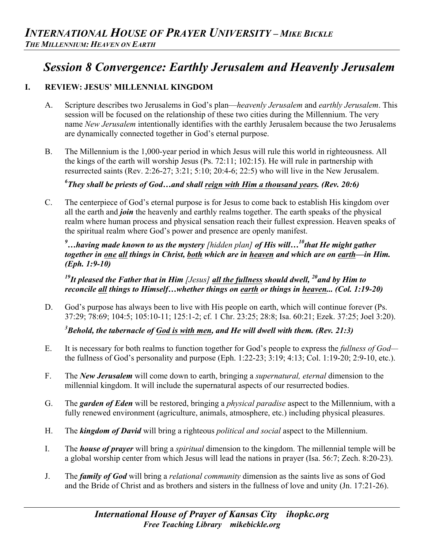# *Session 8 Convergence: Earthly Jerusalem and Heavenly Jerusalem*

# **I. REVIEW: JESUS' MILLENNIAL KINGDOM**

- A. Scripture describes two Jerusalems in God's plan—*heavenly Jerusalem* and *earthly Jerusalem*. This session will be focused on the relationship of these two cities during the Millennium. The very name *New Jerusalem* intentionally identifies with the earthly Jerusalem because the two Jerusalems are dynamically connected together in God's eternal purpose.
- B. The Millennium is the 1,000-year period in which Jesus will rule this world in righteousness. All the kings of the earth will worship Jesus (Ps. 72:11; 102:15). He will rule in partnership with resurrected saints (Rev. 2:26-27; 3:21; 5:10; 20:4-6; 22:5) who will live in the New Jerusalem.

*6 They shall be priests of God…and shall reign with Him a thousand years. (Rev. 20:6)* 

C. The centerpiece of God's eternal purpose is for Jesus to come back to establish His kingdom over all the earth and *join* the heavenly and earthly realms together. The earth speaks of the physical realm where human process and physical sensation reach their fullest expression. Heaven speaks of the spiritual realm where God's power and presence are openly manifest.

*9 …having made known to us the mystery [hidden plan] of His will…10that He might gather together in one all things in Christ, both which are in heaven and which are on earth—in Him. (Eph. 1:9-10)*

*19It pleased the Father that in Him [Jesus] all the fullness should dwell, 20and by Him to reconcile all things to Himself…whether things on earth or things in heaven... (Col. 1:19-20)*

D. God's purpose has always been to live with His people on earth, which will continue forever (Ps. 37:29; 78:69; 104:5; 105:10-11; 125:1-2; cf. 1 Chr. 23:25; 28:8; Isa. 60:21; Ezek. 37:25; Joel 3:20).

*3 Behold, the tabernacle of God is with men, and He will dwell with them. (Rev. 21:3)* 

- E. It is necessary for both realms to function together for God's people to express the *fullness of God* the fullness of God's personality and purpose (Eph. 1:22-23; 3:19; 4:13; Col. 1:19-20; 2:9-10, etc.).
- F. The *New Jerusalem* will come down to earth, bringing a *supernatural, eternal* dimension to the millennial kingdom. It will include the supernatural aspects of our resurrected bodies.
- G. The *garden of Eden* will be restored, bringing a *physical paradise* aspect to the Millennium, with a fully renewed environment (agriculture, animals, atmosphere, etc.) including physical pleasures.
- H. The *kingdom of David* will bring a righteous *political and social* aspect to the Millennium.
- I. The *house of prayer* will bring a *spiritual* dimension to the kingdom. The millennial temple will be a global worship center from which Jesus will lead the nations in prayer (Isa. 56:7; Zech. 8:20-23).
- J. The *family of God* will bring a *relational community* dimension as the saints live as sons of God and the Bride of Christ and as brothers and sisters in the fullness of love and unity (Jn. 17:21-26).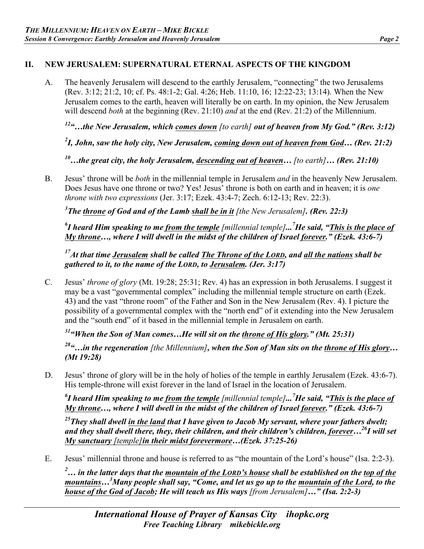# **II. NEW JERUSALEM: SUPERNATURAL ETERNAL ASPECTS OF THE KINGDOM**

A. The heavenly Jerusalem will descend to the earthly Jerusalem, "connecting" the two Jerusalems (Rev. 3:12; 21:2, 10; cf. Ps. 48:1-2; Gal. 4:26; Heb. 11:10, 16; 12:22-23; 13:14). When the New Jerusalem comes to the earth, heaven will literally be on earth. In my opinion, the New Jerusalem will descend *both* at the beginning (Rev. 21:10) *and* at the end (Rev. 21:2) of the Millennium.

*12"…the New Jerusalem, which comes down [to earth] out of heaven from My God." (Rev. 3:12)* 

*2 I, John, saw the holy city, New Jerusalem, coming down out of heaven from God… (Rev. 21:2)*

*10…the great city, the holy Jerusalem, descending out of heaven… [to earth]… (Rev. 21:10)*

B. Jesus' throne will be *both* in the millennial temple in Jerusalem *and* in the heavenly New Jerusalem. Does Jesus have one throne or two? Yes! Jesus' throne is both on earth and in heaven; it is *one throne with two expressions* (Jer. 3:17; Ezek. 43:4-7; Zech. 6:12-13; Rev. 22:3).

*3 The throne of God and of the Lamb shall be in it [the New Jerusalem]. (Rev. 22:3)* 

*6 I heard Him speaking to me from the temple [millennial temple]...7 He said, "This is the place of My throne…, where I will dwell in the midst of the children of Israel forever." (Ezek. 43:6-7)* 

*17At that time Jerusalem shall be called The Throne of the LORD, and all the nations shall be gathered to it, to the name of the LORD, to Jerusalem. (Jer. 3:17)* 

C. Jesus' *throne of glory* (Mt. 19:28; 25:31; Rev. 4) has an expression in both Jerusalems. I suggest it may be a vast "governmental complex" including the millennial temple structure on earth (Ezek. 43) and the vast "throne room" of the Father and Son in the New Jerusalem (Rev. 4). I picture the possibility of a governmental complex with the "north end" of it extending into the New Jerusalem and the "south end" of it based in the millennial temple in Jerusalem on earth.

*31"When the Son of Man comes…He will sit on the throne of His glory." (Mt. 25:31)*

*28"…in the regeneration [the Millennium], when the Son of Man sits on the throne of His glory… (Mt 19:28)*

D. Jesus' throne of glory will be in the holy of holies of the temple in earthly Jerusalem (Ezek. 43:6-7). His temple-throne will exist forever in the land of Israel in the location of Jerusalem.

*6 I heard Him speaking to me from the temple [millennial temple]...7 He said, "This is the place of My throne…, where I will dwell in the midst of the children of Israel forever." (Ezek. 43:6-7)* 

*25They shall dwell in the land that I have given to Jacob My servant, where your fathers dwelt; and they shall dwell there, they, their children, and their children's children, forever…26I will set My sanctuary [temple]in their midst forevermore…(Ezek. 37:25-26)*

E. Jesus' millennial throne and house is referred to as "the mountain of the Lord's house" (Isa. 2:2-3).

*2 … in the latter days that the mountain of the LORD's house shall be established on the top of the mountains…3 Many people shall say, "Come, and let us go up to the mountain of the Lord, to the house of the God of Jacob; He will teach us His ways [from Jerusalem]…" (Isa. 2:2-3)*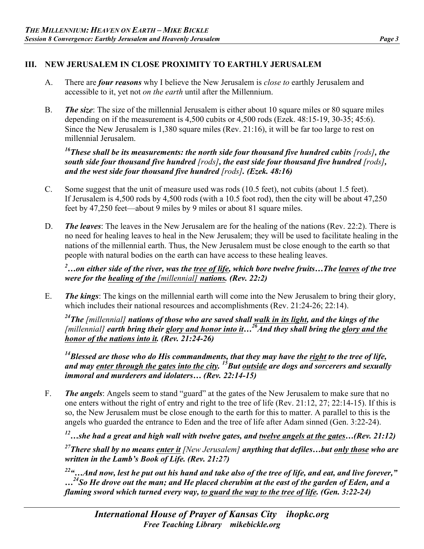# **III. NEW JERUSALEM IN CLOSE PROXIMITY TO EARTHLY JERUSALEM**

- A. There are *four reasons* why I believe the New Jerusalem is *close to* earthly Jerusalem and accessible to it, yet not *on the earth* until after the Millennium.
- B. *The size*: The size of the millennial Jerusalem is either about 10 square miles or 80 square miles depending on if the measurement is 4,500 cubits or 4,500 rods (Ezek. 48:15-19, 30-35; 45:6). Since the New Jerusalem is 1,380 square miles (Rev. 21:16), it will be far too large to rest on millennial Jerusalem.

<sup>16</sup>These shall be its measurements: the north side four thousand five hundred cubits [rods], the *south side four thousand five hundred [rods], the east side four thousand five hundred [rods], and the west side four thousand five hundred [rods]. (Ezek. 48:16)*

- C. Some suggest that the unit of measure used was rods (10.5 feet), not cubits (about 1.5 feet). If Jerusalem is 4,500 rods by 4,500 rods (with a 10.5 foot rod), then the city will be about 47,250 feet by 47,250 feet—about 9 miles by 9 miles or about 81 square miles.
- D. *The leaves*: The leaves in the New Jerusalem are for the healing of the nations (Rev. 22:2). There is no need for healing leaves to heal in the New Jerusalem; they will be used to facilitate healing in the nations of the millennial earth. Thus, the New Jerusalem must be close enough to the earth so that people with natural bodies on the earth can have access to these healing leaves.

*2 …on either side of the river, was the tree of life, which bore twelve fruits…The leaves of the tree were for the healing of the [millennial] nations. (Rev. 22:2)*

E. *The kings*: The kings on the millennial earth will come into the New Jerusalem to bring their glory, which includes their national resources and accomplishments (Rev. 21:24-26; 22:14).

*24The [millennial] nations of those who are saved shall walk in its light, and the kings of the [millennial] earth bring their glory and honor into it…26And they shall bring the glory and the honor of the nations into it. (Rev. 21:24-26)* 

*14Blessed are those who do His commandments, that they may have the right to the tree of life, and may enter through the gates into the city. 15But outside are dogs and sorcerers and sexually immoral and murderers and idolaters… (Rev. 22:14-15)* 

F. *The angels*: Angels seem to stand "guard" at the gates of the New Jerusalem to make sure that no one enters without the right of entry and right to the tree of life (Rev. 21:12, 27; 22:14-15). If this is so, the New Jerusalem must be close enough to the earth for this to matter. A parallel to this is the angels who guarded the entrance to Eden and the tree of life after Adam sinned (Gen. 3:22-24).

*12…she had a great and high wall with twelve gates, and twelve angels at the gates…(Rev. 21:12)*

*27There shall by no means enter it [New Jerusalem] anything that defiles…but only those who are written in the Lamb's Book of Life. (Rev. 21:27)* 

*22"…And now, lest he put out his hand and take also of the tree of life, and eat, and live forever," …24So He drove out the man; and He placed cherubim at the east of the garden of Eden, and a flaming sword which turned every way, to guard the way to the tree of life. (Gen. 3:22-24)*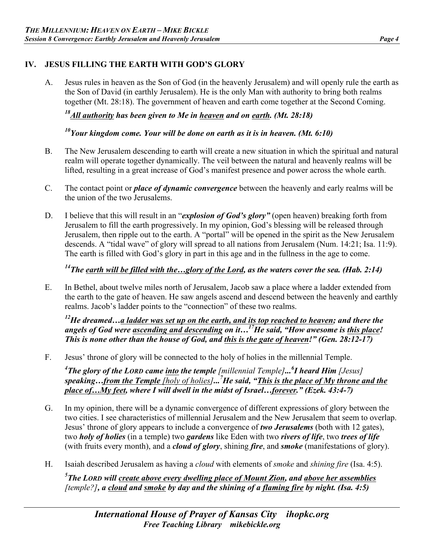### **IV. JESUS FILLING THE EARTH WITH GOD'S GLORY**

A. Jesus rules in heaven as the Son of God (in the heavenly Jerusalem) and will openly rule the earth as the Son of David (in earthly Jerusalem). He is the only Man with authority to bring both realms together (Mt. 28:18). The government of heaven and earth come together at the Second Coming.

*18All authority has been given to Me in heaven and on earth. (Mt. 28:18)* 

*10Your kingdom come. Your will be done on earth as it is in heaven. (Mt. 6:10)* 

- B. The New Jerusalem descending to earth will create a new situation in which the spiritual and natural realm will operate together dynamically. The veil between the natural and heavenly realms will be lifted, resulting in a great increase of God's manifest presence and power across the whole earth.
- C. The contact point or *place of dynamic convergence* between the heavenly and early realms will be the union of the two Jerusalems.
- D. I believe that this will result in an "*explosion of God's glory"* (open heaven) breaking forth from Jerusalem to fill the earth progressively. In my opinion, God's blessing will be released through Jerusalem, then ripple out to the earth. A "portal" will be opened in the spirit as the New Jerusalem descends. A "tidal wave" of glory will spread to all nations from Jerusalem (Num. 14:21; Isa. 11:9). The earth is filled with God's glory in part in this age and in the fullness in the age to come.

# *14The earth will be filled with the…glory of the Lord, as the waters cover the sea. (Hab. 2:14)*

E. In Bethel, about twelve miles north of Jerusalem, Jacob saw a place where a ladder extended from the earth to the gate of heaven. He saw angels ascend and descend between the heavenly and earthly realms. Jacob's ladder points to the "connection" of these two realms.

*12He dreamed…a ladder was set up on the earth, and its top reached to heaven; and there the angels of God were ascending and descending on it…17He said, "How awesome is this place! This is none other than the house of God, and this is the gate of heaven!" (Gen. 28:12-17)* 

F. Jesus' throne of glory will be connected to the holy of holies in the millennial Temple.

*4 The glory of the LORD came into the temple [millennial Temple]...6 I heard Him [Jesus] speaking…from the Temple [holy of holies]...7 He said, "This is the place of My throne and the place of…My feet, where I will dwell in the midst of Israel…forever." (Ezek. 43:4-7)* 

- G. In my opinion, there will be a dynamic convergence of different expressions of glory between the two cities. I see characteristics of millennial Jerusalem and the New Jerusalem that seem to overlap. Jesus' throne of glory appears to include a convergence of *two Jerusalems* (both with 12 gates), two *holy of holies* (in a temple) two *gardens* like Eden with two *rivers of life*, two *trees of life* (with fruits every month), and a *cloud of glory*, shining *fire*, and *smoke* (manifestations of glory).
- H. Isaiah described Jerusalem as having a *cloud* with elements of *smoke* and *shining fire* (Isa. 4:5).

*5 The LORD will create above every dwelling place of Mount Zion, and above her assemblies [temple?], a cloud and smoke by day and the shining of a flaming fire by night. (Isa. 4:5)*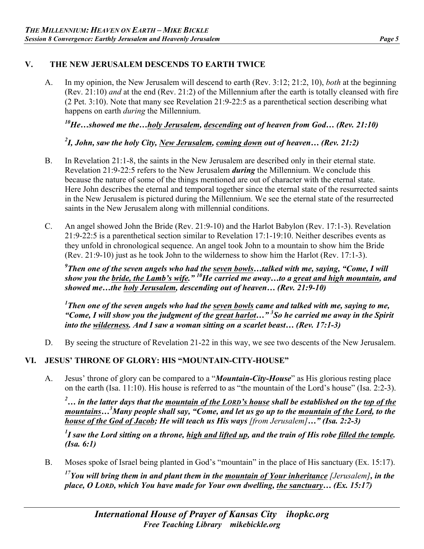### **V. THE NEW JERUSALEM DESCENDS TO EARTH TWICE**

A. In my opinion, the New Jerusalem will descend to earth (Rev. 3:12; 21:2, 10), *both* at the beginning (Rev. 21:10) *and* at the end (Rev. 21:2) of the Millennium after the earth is totally cleansed with fire (2 Pet. 3:10). Note that many see Revelation 21:9-22:5 as a parenthetical section describing what happens on earth *during* the Millennium.

*10He…showed me the…holy Jerusalem, descending out of heaven from God… (Rev. 21:10)* 

# *2 I, John, saw the holy City, New Jerusalem, coming down out of heaven… (Rev. 21:2)*

- B. In Revelation 21:1-8, the saints in the New Jerusalem are described only in their eternal state. Revelation 21:9-22:5 refers to the New Jerusalem *during* the Millennium. We conclude this because the nature of some of the things mentioned are out of character with the eternal state. Here John describes the eternal and temporal together since the eternal state of the resurrected saints in the New Jerusalem is pictured during the Millennium. We see the eternal state of the resurrected saints in the New Jerusalem along with millennial conditions.
- C. An angel showed John the Bride (Rev. 21:9-10) and the Harlot Babylon (Rev. 17:1-3). Revelation 21:9-22:5 is a parenthetical section similar to Revelation 17:1-19:10. Neither describes events as they unfold in chronological sequence. An angel took John to a mountain to show him the Bride (Rev. 21:9-10) just as he took John to the wilderness to show him the Harlot (Rev. 17:1-3).

*9 Then one of the seven angels who had the seven bowls…talked with me, saying, "Come, I will show you the bride, the Lamb's wife." 10He carried me away…to a great and high mountain, and showed me…the holy Jerusalem, descending out of heaven… (Rev. 21:9-10)* 

*1 Then one of the seven angels who had the seven bowls came and talked with me, saying to me, "Come, I will show you the judgment of the great harlot…" <sup>3</sup> So he carried me away in the Spirit into the wilderness. And I saw a woman sitting on a scarlet beast… (Rev. 17:1-3)* 

D. By seeing the structure of Revelation 21-22 in this way, we see two descents of the New Jerusalem.

# **VI. JESUS' THRONE OF GLORY: HIS "MOUNTAIN-CITY-HOUSE"**

A. Jesus' throne of glory can be compared to a "*Mountain-City-House*" as His glorious resting place on the earth (Isa. 11:10). His house is referred to as "the mountain of the Lord's house" (Isa. 2:2-3).

*2 … in the latter days that the mountain of the LORD's house shall be established on the top of the mountains…3 Many people shall say, "Come, and let us go up to the mountain of the Lord, to the house of the God of Jacob; He will teach us His ways [from Jerusalem]…" (Isa. 2:2-3)*

*1 I saw the Lord sitting on a throne, high and lifted up, and the train of His robe filled the temple. (Isa. 6:1)*

B. Moses spoke of Israel being planted in God's "mountain" in the place of His sanctuary (Ex. 15:17).

*17You will bring them in and plant them in the mountain of Your inheritance [Jerusalem], in the place, O LORD, which You have made for Your own dwelling, the sanctuary… (Ex. 15:17)*